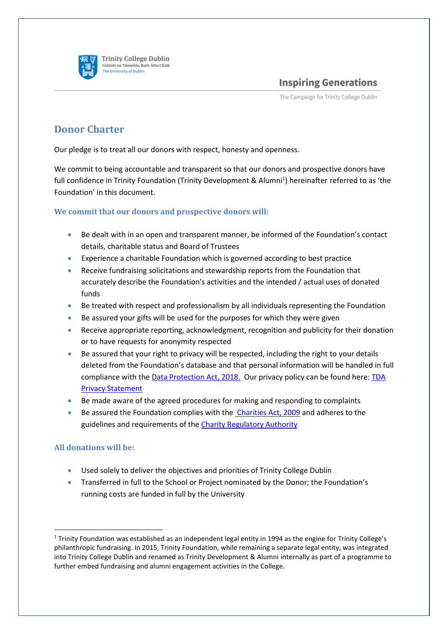

**Trinity College Dublin** Coláiste na Tríonóide, Baile Átha Cliath The University of Dublin

**Inspiring Generations** 

The Campaign for Trinity College Dublin

## **Donor Charter**

Our pledge is to treat all our donors with respect, honesty and openness.

We commit to being accountable and transparent so that our donors and prospective donors have full confidence in Trinity Foundation (Trinity Development & Alumni<sup>1</sup>) hereinafter referred to as 'the Foundation' in this document.

## **We commit that our donors and prospective donors will:**

- Be dealt with in an open and transparent manner, be informed of the Foundation's contact details, charitable status and Board of Trustees
- Experience a charitable Foundation which is governed according to best practice
- Receive fundraising solicitations and stewardship reports from the Foundation that accurately describe the Foundation's activities and the intended / actual uses of donated funds
- Be treated with respect and professionalism by all individuals representing the Foundation
- Be assured your gifts will be used for the purposes for which they were given
- Receive appropriate reporting, acknowledgment, recognition and publicity for their donation or to have requests for anonymity respected
- Be assured that your right to privacy will be respected, including the right to your details deleted from the Foundation's database and that personal information will be handled in full compliance with th[e Data Protection Act, 2018.](https://www.dataprotection.ie/documents/guidance/A_Guide_to_Your_Rights_web_version.pdf) Our privacy policy can be found here: [TDA](https://www.tcd.ie/alumni/about-us/privacy/)  [Privacy Statement](https://www.tcd.ie/alumni/about-us/privacy/)
- Be made aware of the agreed procedures for making and responding to complaints
- Be assured the Foundation complies with th[e Charities Act, 2009](http://www.irishstatutebook.ie/eli/2009/act/6/enacted/en/html) and adheres to the guidelines and requirements of th[e Charity Regulatory Authority](http://www.charitiesregulatoryauthority.ie/)

## **All donations will be:**

- Used solely to deliver the objectives and priorities of Trinity College Dublin
- Transferred in full to the School or Project nominated by the Donor; the Foundation's running costs are funded in full by the University

 $1$  Trinity Foundation was established as an independent legal entity in 1994 as the engine for Trinity College's philanthropic fundraising. In 2015, Trinity Foundation, while remaining a separate legal entity, was integrated into Trinity College Dublin and renamed as Trinity Development & Alumni internally as part of a programme to further embed fundraising and alumni engagement activities in the College.